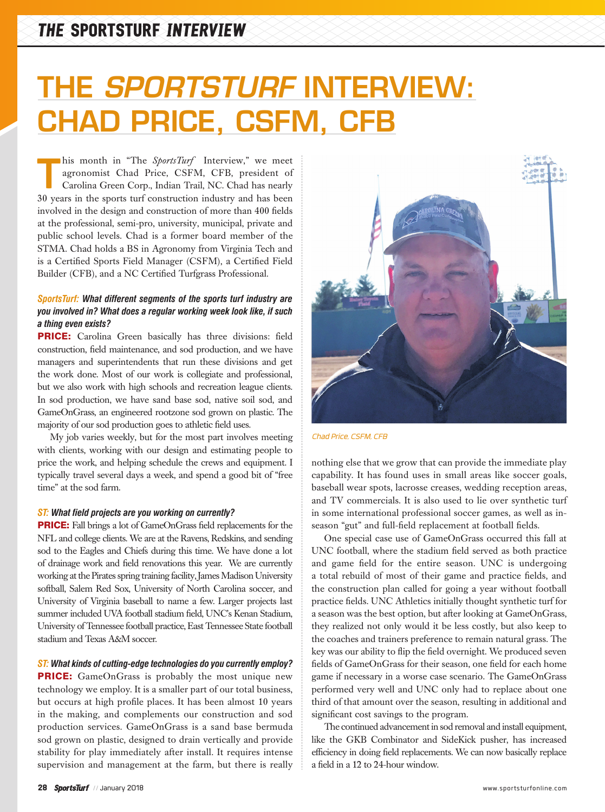# THE *SPORTSTURF* INTERVIEW: CHAD PRICE, CSFM, CFB

**This month in "The** *SportsTurf* Interview," we meet agronomist Chad Price, CSFM, CFB, president of Carolina Green Corp., Indian Trail, NC. Chad has nearly 30 years in the sports turf construction industry and has been agronomist Chad Price, CSFM, CFB, president of Carolina Green Corp., Indian Trail, NC. Chad has nearly 30 years in the sports turf construction industry and has been involved in the design and construction of more than 400 fields at the professional, semi-pro, university, municipal, private and public school levels. Chad is a former board member of the STMA. Chad holds a BS in Agronomy from Virginia Tech and is a Certified Sports Field Manager (CSFM), a Certified Field Builder (CFB), and a NC Certified Turfgrass Professional.

## *SportsTurf: What different segments of the sports turf industry are you involved in? What does a regular working week look like, if such a thing even exists?*

PRICE: Carolina Green basically has three divisions: field construction, field maintenance, and sod production, and we have managers and superintendents that run these divisions and get the work done. Most of our work is collegiate and professional, but we also work with high schools and recreation league clients. In sod production, we have sand base sod, native soil sod, and GameOnGrass, an engineered rootzone sod grown on plastic. The majority of our sod production goes to athletic field uses.

My job varies weekly, but for the most part involves meeting with clients, working with our design and estimating people to price the work, and helping schedule the crews and equipment. I typically travel several days a week, and spend a good bit of "free time" at the sod farm.

#### *ST: What field projects are you working on currently?*

PRICE: Fall brings a lot of GameOnGrass field replacements for the NFL and college clients. We are at the Ravens, Redskins, and sending sod to the Eagles and Chiefs during this time. We have done a lot of drainage work and field renovations this year. We are currently working at the Pirates spring training facility, James Madison University softball, Salem Red Sox, University of North Carolina soccer, and University of Virginia baseball to name a few. Larger projects last summer included UVA football stadium field, UNC's Kenan Stadium, University of Tennessee football practice, East Tennessee State football stadium and Texas A&M soccer.

#### *ST: What kinds of cutting-edge technologies do you currently employ?*

**PRICE:** GameOnGrass is probably the most unique new technology we employ. It is a smaller part of our total business, but occurs at high profile places. It has been almost 10 years in the making, and complements our construction and sod production services. GameOnGrass is a sand base bermuda sod grown on plastic, designed to drain vertically and provide stability for play immediately after install. It requires intense supervision and management at the farm, but there is really



*Chad Price, CSFM, CFB*

nothing else that we grow that can provide the immediate play capability. It has found uses in small areas like soccer goals, baseball wear spots, lacrosse creases, wedding reception areas, and TV commercials. It is also used to lie over synthetic turf in some international professional soccer games, as well as inseason "gut" and full-field replacement at football fields.

One special case use of GameOnGrass occurred this fall at UNC football, where the stadium field served as both practice and game field for the entire season. UNC is undergoing a total rebuild of most of their game and practice fields, and the construction plan called for going a year without football practice fields. UNC Athletics initially thought synthetic turf for a season was the best option, but after looking at GameOnGrass, they realized not only would it be less costly, but also keep to the coaches and trainers preference to remain natural grass. The key was our ability to flip the field overnight. We produced seven fields of GameOnGrass for their season, one field for each home game if necessary in a worse case scenario. The GameOnGrass performed very well and UNC only had to replace about one third of that amount over the season, resulting in additional and significant cost savings to the program.

The continued advancement in sod removal and install equipment, like the GKB Combinator and SideKick pusher, has increased efficiency in doing field replacements. We can now basically replace a field in a 12 to 24-hour window.